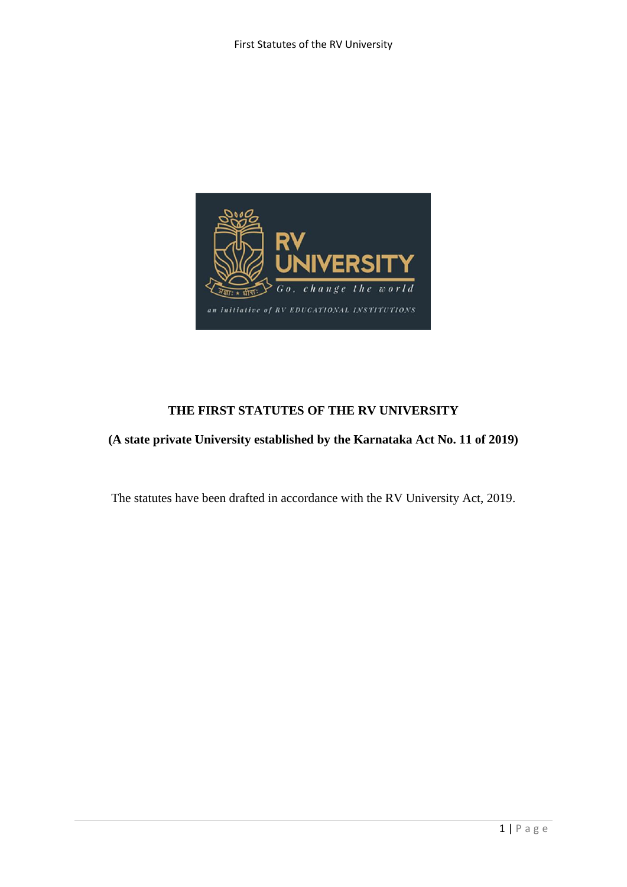

# **THE FIRST STATUTES OF THE RV UNIVERSITY**

# **(A state private University established by the Karnataka Act No. 11 of 2019)**

The statutes have been drafted in accordance with the RV University Act, 2019.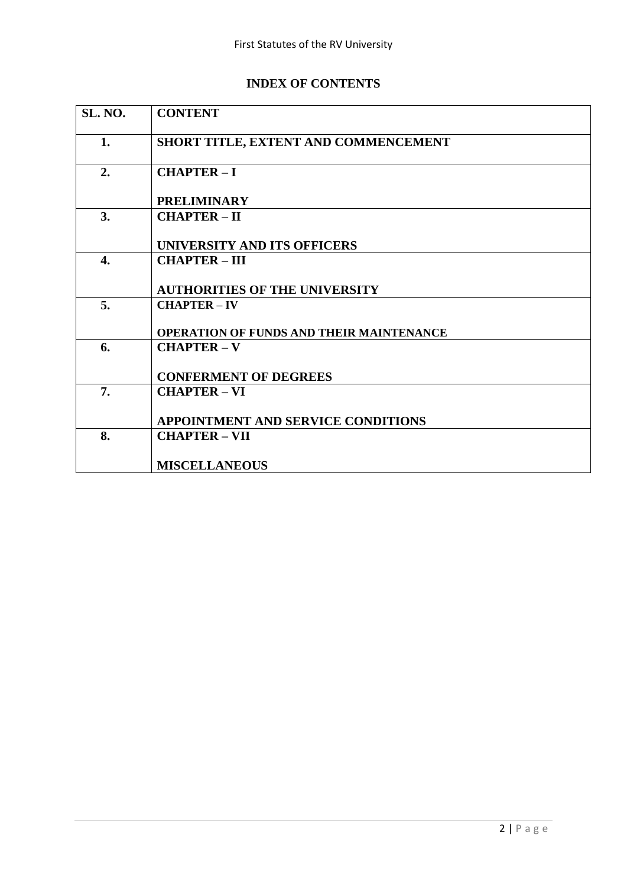# **INDEX OF CONTENTS**

| SL. NO. | <b>CONTENT</b>                           |
|---------|------------------------------------------|
| 1.      | SHORT TITLE, EXTENT AND COMMENCEMENT     |
| 2.      | <b>CHAPTER-I</b>                         |
|         | <b>PRELIMINARY</b>                       |
| 3.      | <b>CHAPTER-II</b>                        |
|         | UNIVERSITY AND ITS OFFICERS              |
| 4.      | <b>CHAPTER-III</b>                       |
|         | <b>AUTHORITIES OF THE UNIVERSITY</b>     |
| 5.      | <b>CHAPTER – IV</b>                      |
|         | OPERATION OF FUNDS AND THEIR MAINTENANCE |
| 6.      | <b>CHAPTER-V</b>                         |
|         | <b>CONFERMENT OF DEGREES</b>             |
| 7.      | <b>CHAPTER-VI</b>                        |
|         | APPOINTMENT AND SERVICE CONDITIONS       |
| 8.      | <b>CHAPTER - VII</b>                     |
|         | <b>MISCELLANEOUS</b>                     |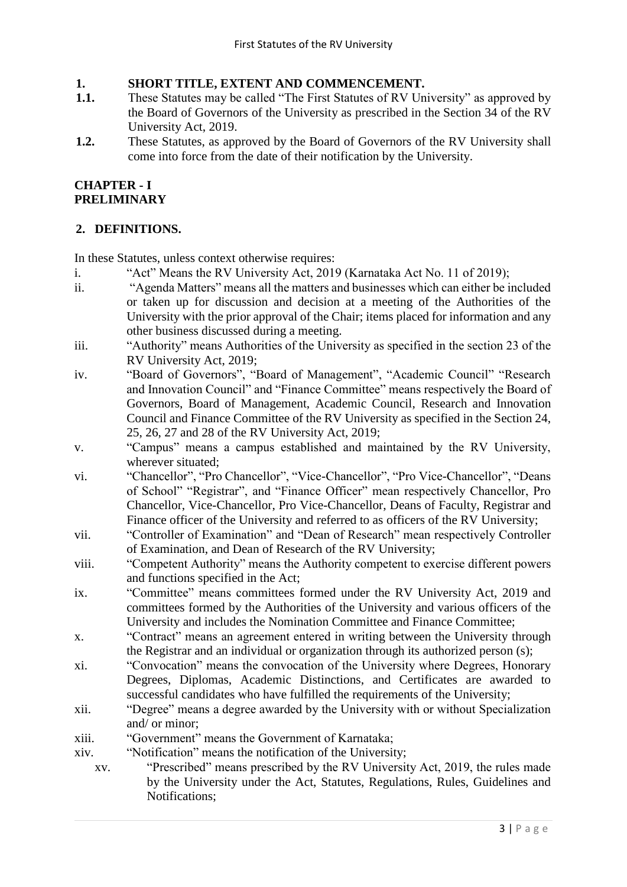## **1. SHORT TITLE, EXTENT AND COMMENCEMENT.**

- **1.1.** These Statutes may be called "The First Statutes of RV University" as approved by the Board of Governors of the University as prescribed in the Section 34 of the RV University Act, 2019.
- **1.2.** These Statutes, as approved by the Board of Governors of the RV University shall come into force from the date of their notification by the University.

## **CHAPTER - I PRELIMINARY**

## **2. DEFINITIONS.**

In these Statutes, unless context otherwise requires:

- i. "Act" Means the RV University Act, 2019 (Karnataka Act No. 11 of 2019);
- ii. "Agenda Matters" means all the matters and businesses which can either be included or taken up for discussion and decision at a meeting of the Authorities of the University with the prior approval of the Chair; items placed for information and any other business discussed during a meeting.
- iii. "Authority" means Authorities of the University as specified in the section 23 of the RV University Act, 2019;
- iv. "Board of Governors", "Board of Management", "Academic Council" "Research and Innovation Council" and "Finance Committee" means respectively the Board of Governors, Board of Management, Academic Council, Research and Innovation Council and Finance Committee of the RV University as specified in the Section 24, 25, 26, 27 and 28 of the RV University Act, 2019;
- v. "Campus" means a campus established and maintained by the RV University, wherever situated;
- vi. "Chancellor", "Pro Chancellor", "Vice-Chancellor", "Pro Vice-Chancellor", "Deans of School" "Registrar", and "Finance Officer" mean respectively Chancellor, Pro Chancellor, Vice-Chancellor, Pro Vice-Chancellor, Deans of Faculty, Registrar and Finance officer of the University and referred to as officers of the RV University;
- vii. "Controller of Examination" and "Dean of Research" mean respectively Controller of Examination, and Dean of Research of the RV University;
- viii. "Competent Authority" means the Authority competent to exercise different powers and functions specified in the Act;
- ix. "Committee" means committees formed under the RV University Act, 2019 and committees formed by the Authorities of the University and various officers of the University and includes the Nomination Committee and Finance Committee;
- x. "Contract" means an agreement entered in writing between the University through the Registrar and an individual or organization through its authorized person (s);
- xi. "Convocation" means the convocation of the University where Degrees, Honorary Degrees, Diplomas, Academic Distinctions, and Certificates are awarded to successful candidates who have fulfilled the requirements of the University;
- xii. "Degree" means a degree awarded by the University with or without Specialization and/ or minor;
- xiii. "Government" means the Government of Karnataka;
- xiv. "Notification" means the notification of the University;
	- xv. "Prescribed" means prescribed by the RV University Act, 2019, the rules made by the University under the Act, Statutes, Regulations, Rules, Guidelines and Notifications;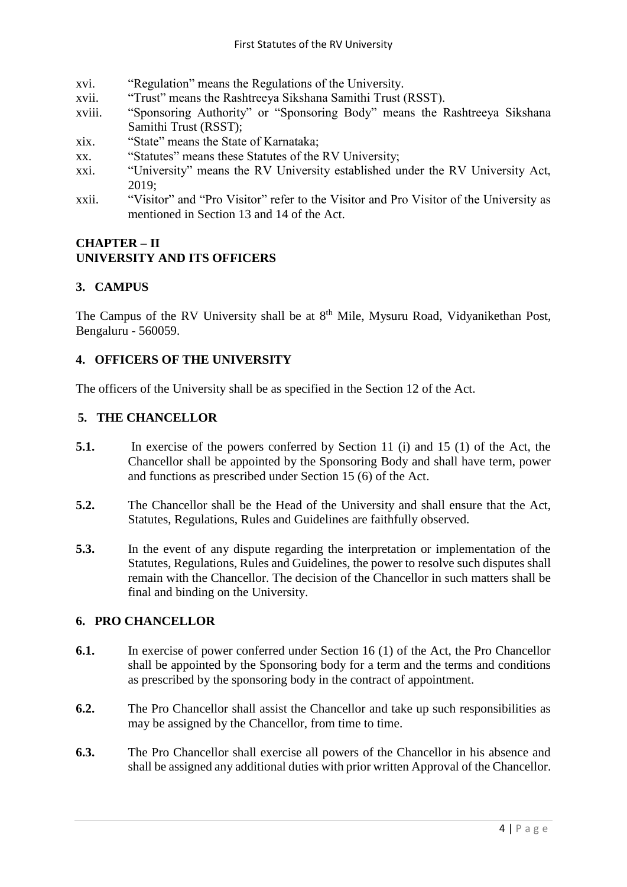- xvi. "Regulation" means the Regulations of the University.
- xvii. "Trust" means the Rashtreeya Sikshana Samithi Trust (RSST).
- xviii. "Sponsoring Authority" or "Sponsoring Body" means the Rashtreeya Sikshana Samithi Trust (RSST);
- xix. "State" means the State of Karnataka;
- xx. "Statutes" means these Statutes of the RV University;
- xxi. "University" means the RV University established under the RV University Act, 2019;
- xxii. "Visitor" and "Pro Visitor" refer to the Visitor and Pro Visitor of the University as mentioned in Section 13 and 14 of the Act.

## **CHAPTER – II UNIVERSITY AND ITS OFFICERS**

#### **3. CAMPUS**

The Campus of the RV University shall be at 8<sup>th</sup> Mile, Mysuru Road, Vidyanikethan Post, Bengaluru - 560059.

#### **4. OFFICERS OF THE UNIVERSITY**

The officers of the University shall be as specified in the Section 12 of the Act.

#### **5. THE CHANCELLOR**

- **5.1.** In exercise of the powers conferred by Section 11 (i) and 15 (1) of the Act, the Chancellor shall be appointed by the Sponsoring Body and shall have term, power and functions as prescribed under Section 15 (6) of the Act.
- **5.2.** The Chancellor shall be the Head of the University and shall ensure that the Act, Statutes, Regulations, Rules and Guidelines are faithfully observed.
- **5.3.** In the event of any dispute regarding the interpretation or implementation of the Statutes, Regulations, Rules and Guidelines, the power to resolve such disputes shall remain with the Chancellor. The decision of the Chancellor in such matters shall be final and binding on the University.

## **6. PRO CHANCELLOR**

- **6.1.** In exercise of power conferred under Section 16 (1) of the Act, the Pro Chancellor shall be appointed by the Sponsoring body for a term and the terms and conditions as prescribed by the sponsoring body in the contract of appointment.
- **6.2.** The Pro Chancellor shall assist the Chancellor and take up such responsibilities as may be assigned by the Chancellor, from time to time.
- **6.3.** The Pro Chancellor shall exercise all powers of the Chancellor in his absence and shall be assigned any additional duties with prior written Approval of the Chancellor.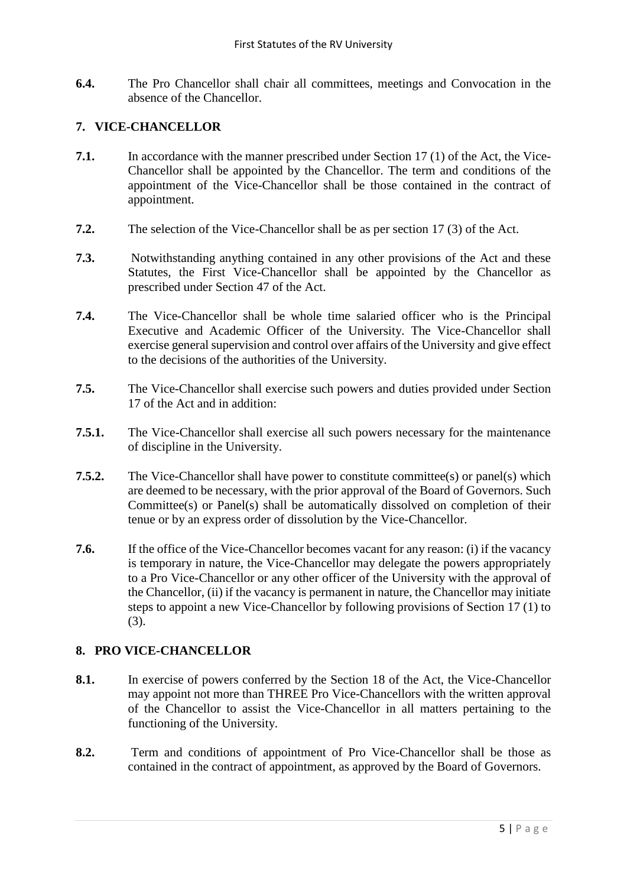**6.4.** The Pro Chancellor shall chair all committees, meetings and Convocation in the absence of the Chancellor.

#### **7. VICE-CHANCELLOR**

- **7.1.** In accordance with the manner prescribed under Section 17 (1) of the Act, the Vice-Chancellor shall be appointed by the Chancellor. The term and conditions of the appointment of the Vice-Chancellor shall be those contained in the contract of appointment.
- **7.2.** The selection of the Vice-Chancellor shall be as per section 17 (3) of the Act.
- **7.3.** Notwithstanding anything contained in any other provisions of the Act and these Statutes, the First Vice-Chancellor shall be appointed by the Chancellor as prescribed under Section 47 of the Act.
- **7.4.** The Vice-Chancellor shall be whole time salaried officer who is the Principal Executive and Academic Officer of the University. The Vice-Chancellor shall exercise general supervision and control over affairs of the University and give effect to the decisions of the authorities of the University.
- **7.5.** The Vice-Chancellor shall exercise such powers and duties provided under Section 17 of the Act and in addition:
- **7.5.1.** The Vice-Chancellor shall exercise all such powers necessary for the maintenance of discipline in the University.
- **7.5.2.** The Vice-Chancellor shall have power to constitute committee(s) or panel(s) which are deemed to be necessary, with the prior approval of the Board of Governors. Such Committee(s) or Panel(s) shall be automatically dissolved on completion of their tenue or by an express order of dissolution by the Vice-Chancellor.
- **7.6.** If the office of the Vice-Chancellor becomes vacant for any reason: (i) if the vacancy is temporary in nature, the Vice-Chancellor may delegate the powers appropriately to a Pro Vice-Chancellor or any other officer of the University with the approval of the Chancellor, (ii) if the vacancy is permanent in nature, the Chancellor may initiate steps to appoint a new Vice-Chancellor by following provisions of Section 17 (1) to (3).

#### **8. PRO VICE-CHANCELLOR**

- **8.1.** In exercise of powers conferred by the Section 18 of the Act, the Vice-Chancellor may appoint not more than THREE Pro Vice-Chancellors with the written approval of the Chancellor to assist the Vice-Chancellor in all matters pertaining to the functioning of the University.
- **8.2.** Term and conditions of appointment of Pro Vice-Chancellor shall be those as contained in the contract of appointment, as approved by the Board of Governors.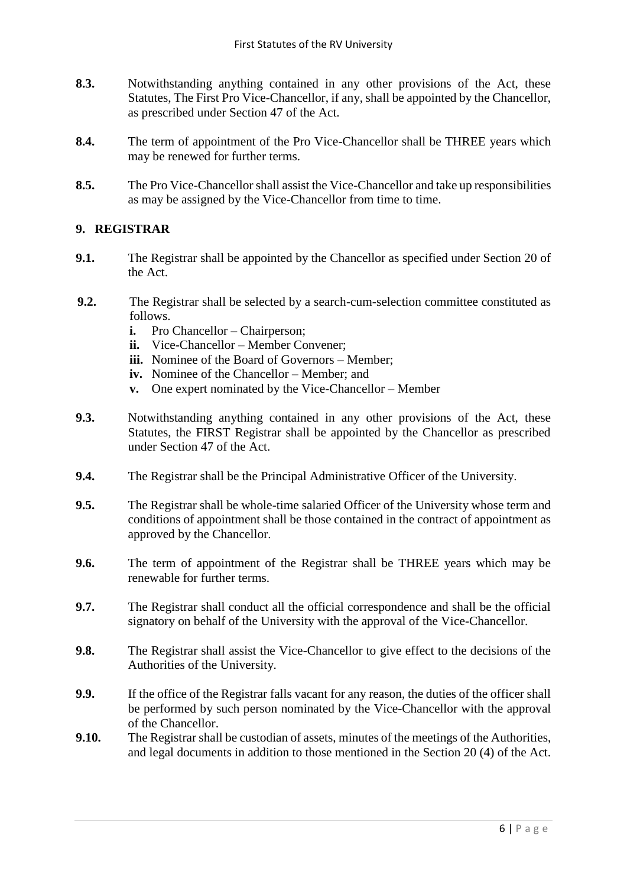- **8.3.** Notwithstanding anything contained in any other provisions of the Act, these Statutes, The First Pro Vice-Chancellor, if any, shall be appointed by the Chancellor, as prescribed under Section 47 of the Act.
- **8.4.** The term of appointment of the Pro Vice-Chancellor shall be THREE years which may be renewed for further terms.
- **8.5.** The Pro Vice-Chancellor shall assist the Vice-Chancellor and take up responsibilities as may be assigned by the Vice-Chancellor from time to time.

## **9. REGISTRAR**

- **9.1.** The Registrar shall be appointed by the Chancellor as specified under Section 20 of the Act.
- **9.2.** The Registrar shall be selected by a search-cum-selection committee constituted as follows.
	- **i.** Pro Chancellor Chairperson;
	- **ii.** Vice-Chancellor Member Convener;
	- iii. Nominee of the Board of Governors Member;
	- **iv.** Nominee of the Chancellor Member; and
	- **v.** One expert nominated by the Vice-Chancellor Member
- **9.3.** Notwithstanding anything contained in any other provisions of the Act, these Statutes, the FIRST Registrar shall be appointed by the Chancellor as prescribed under Section 47 of the Act.
- **9.4.** The Registrar shall be the Principal Administrative Officer of the University.
- **9.5.** The Registrar shall be whole-time salaried Officer of the University whose term and conditions of appointment shall be those contained in the contract of appointment as approved by the Chancellor.
- **9.6.** The term of appointment of the Registrar shall be THREE years which may be renewable for further terms.
- **9.7.** The Registrar shall conduct all the official correspondence and shall be the official signatory on behalf of the University with the approval of the Vice-Chancellor.
- **9.8.** The Registrar shall assist the Vice-Chancellor to give effect to the decisions of the Authorities of the University.
- **9.9.** If the office of the Registrar falls vacant for any reason, the duties of the officer shall be performed by such person nominated by the Vice-Chancellor with the approval of the Chancellor.
- **9.10.** The Registrar shall be custodian of assets, minutes of the meetings of the Authorities, and legal documents in addition to those mentioned in the Section 20 (4) of the Act.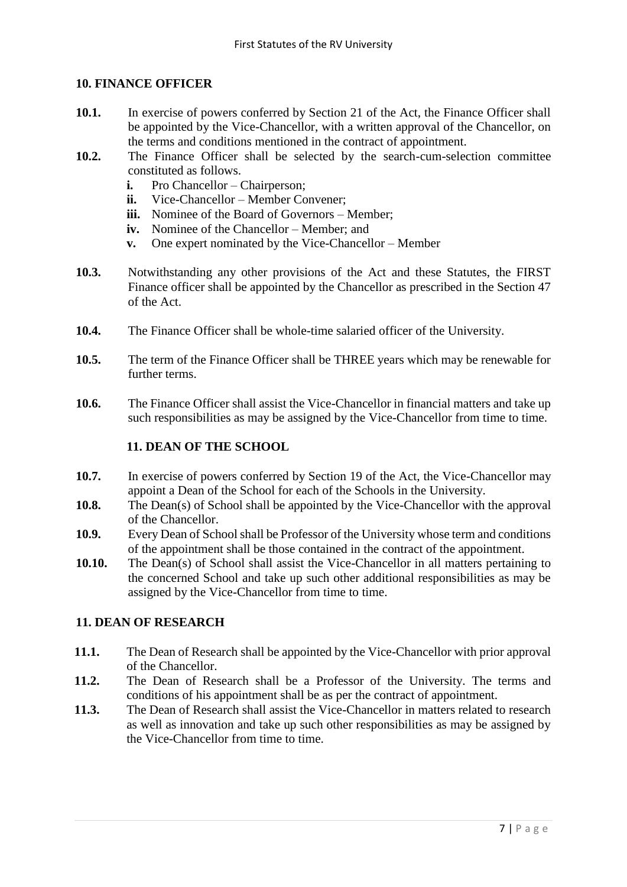## **10. FINANCE OFFICER**

- 10.1. In exercise of powers conferred by Section 21 of the Act, the Finance Officer shall be appointed by the Vice-Chancellor, with a written approval of the Chancellor, on the terms and conditions mentioned in the contract of appointment.
- **10.2.** The Finance Officer shall be selected by the search-cum-selection committee constituted as follows.
	- **i.** Pro Chancellor Chairperson;
	- **ii.** Vice-Chancellor Member Convener;
	- **iii.** Nominee of the Board of Governors Member:
	- **iv.** Nominee of the Chancellor Member; and
	- **v.** One expert nominated by the Vice-Chancellor Member
- **10.3.** Notwithstanding any other provisions of the Act and these Statutes, the FIRST Finance officer shall be appointed by the Chancellor as prescribed in the Section 47 of the Act.
- **10.4.** The Finance Officer shall be whole-time salaried officer of the University.
- **10.5.** The term of the Finance Officer shall be THREE years which may be renewable for further terms.
- **10.6.** The Finance Officer shall assist the Vice-Chancellor in financial matters and take up such responsibilities as may be assigned by the Vice-Chancellor from time to time.

#### **11. DEAN OF THE SCHOOL**

- **10.7.** In exercise of powers conferred by Section 19 of the Act, the Vice-Chancellor may appoint a Dean of the School for each of the Schools in the University.
- **10.8.** The Dean(s) of School shall be appointed by the Vice-Chancellor with the approval of the Chancellor.
- **10.9.** Every Dean of School shall be Professor of the University whose term and conditions of the appointment shall be those contained in the contract of the appointment.
- **10.10.** The Dean(s) of School shall assist the Vice-Chancellor in all matters pertaining to the concerned School and take up such other additional responsibilities as may be assigned by the Vice-Chancellor from time to time.

### **11. DEAN OF RESEARCH**

- **11.1.** The Dean of Research shall be appointed by the Vice-Chancellor with prior approval of the Chancellor.
- **11.2.** The Dean of Research shall be a Professor of the University. The terms and conditions of his appointment shall be as per the contract of appointment.
- **11.3.** The Dean of Research shall assist the Vice-Chancellor in matters related to research as well as innovation and take up such other responsibilities as may be assigned by the Vice-Chancellor from time to time.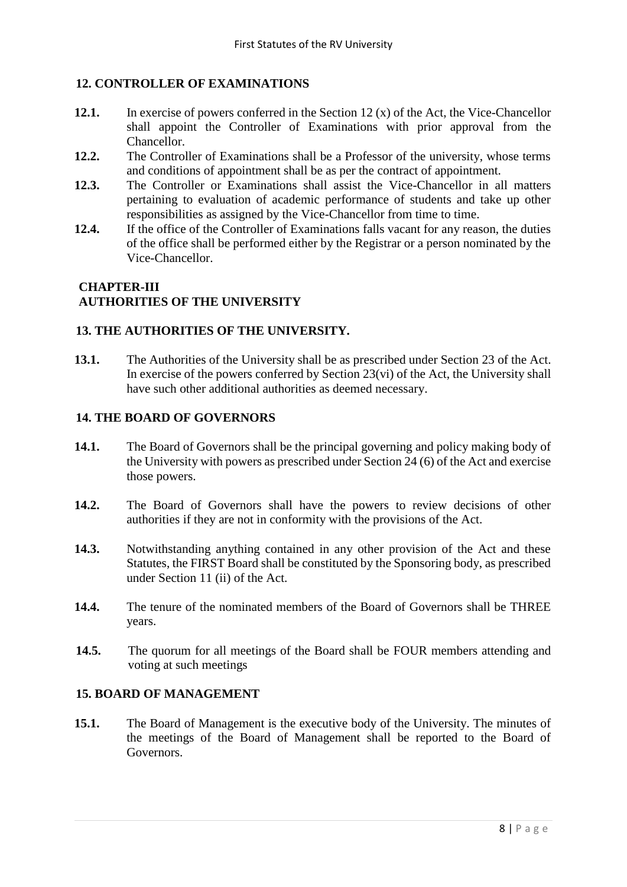# **12. CONTROLLER OF EXAMINATIONS**

- **12.1.** In exercise of powers conferred in the Section 12 (x) of the Act, the Vice-Chancellor shall appoint the Controller of Examinations with prior approval from the Chancellor.
- **12.2.** The Controller of Examinations shall be a Professor of the university, whose terms and conditions of appointment shall be as per the contract of appointment.
- **12.3.** The Controller or Examinations shall assist the Vice-Chancellor in all matters pertaining to evaluation of academic performance of students and take up other responsibilities as assigned by the Vice-Chancellor from time to time.
- **12.4.** If the office of the Controller of Examinations falls vacant for any reason, the duties of the office shall be performed either by the Registrar or a person nominated by the Vice-Chancellor.

## **CHAPTER-III AUTHORITIES OF THE UNIVERSITY**

## **13. THE AUTHORITIES OF THE UNIVERSITY.**

**13.1.** The Authorities of the University shall be as prescribed under Section 23 of the Act. In exercise of the powers conferred by Section  $23(vi)$  of the Act, the University shall have such other additional authorities as deemed necessary.

### **14. THE BOARD OF GOVERNORS**

- **14.1.** The Board of Governors shall be the principal governing and policy making body of the University with powers as prescribed under Section 24 (6) of the Act and exercise those powers.
- **14.2.** The Board of Governors shall have the powers to review decisions of other authorities if they are not in conformity with the provisions of the Act.
- **14.3.** Notwithstanding anything contained in any other provision of the Act and these Statutes, the FIRST Board shall be constituted by the Sponsoring body, as prescribed under Section 11 (ii) of the Act.
- **14.4.** The tenure of the nominated members of the Board of Governors shall be THREE years.
- **14.5.** The quorum for all meetings of the Board shall be FOUR members attending and voting at such meetings

### **15. BOARD OF MANAGEMENT**

**15.1.** The Board of Management is the executive body of the University. The minutes of the meetings of the Board of Management shall be reported to the Board of Governors.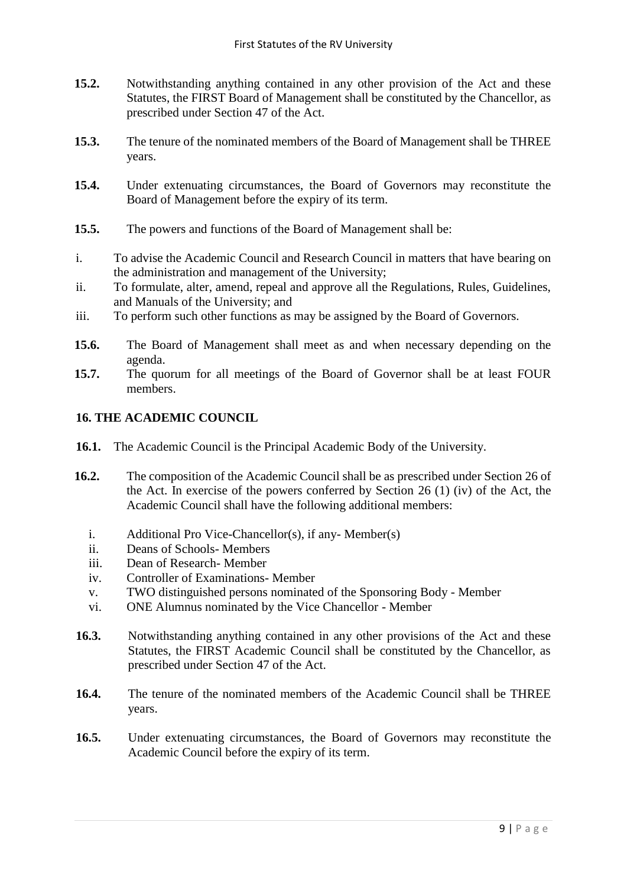- **15.2.** Notwithstanding anything contained in any other provision of the Act and these Statutes, the FIRST Board of Management shall be constituted by the Chancellor, as prescribed under Section 47 of the Act.
- **15.3.** The tenure of the nominated members of the Board of Management shall be THREE years.
- **15.4.** Under extenuating circumstances, the Board of Governors may reconstitute the Board of Management before the expiry of its term.
- **15.5.** The powers and functions of the Board of Management shall be:
- i. To advise the Academic Council and Research Council in matters that have bearing on the administration and management of the University;
- ii. To formulate, alter, amend, repeal and approve all the Regulations, Rules, Guidelines, and Manuals of the University; and
- iii. To perform such other functions as may be assigned by the Board of Governors.
- **15.6.** The Board of Management shall meet as and when necessary depending on the agenda.
- **15.7.** The quorum for all meetings of the Board of Governor shall be at least FOUR members.

### **16. THE ACADEMIC COUNCIL**

- **16.1.** The Academic Council is the Principal Academic Body of the University.
- **16.2.** The composition of the Academic Council shall be as prescribed under Section 26 of the Act. In exercise of the powers conferred by Section 26 (1) (iv) of the Act, the Academic Council shall have the following additional members:
	- i. Additional Pro Vice-Chancellor(s), if any- Member(s)
	- ii. Deans of Schools- Members
	- iii. Dean of Research- Member
	- iv. Controller of Examinations- Member
	- v. TWO distinguished persons nominated of the Sponsoring Body Member
	- vi. ONE Alumnus nominated by the Vice Chancellor Member
- **16.3.** Notwithstanding anything contained in any other provisions of the Act and these Statutes, the FIRST Academic Council shall be constituted by the Chancellor, as prescribed under Section 47 of the Act.
- **16.4.** The tenure of the nominated members of the Academic Council shall be THREE years.
- **16.5.** Under extenuating circumstances, the Board of Governors may reconstitute the Academic Council before the expiry of its term.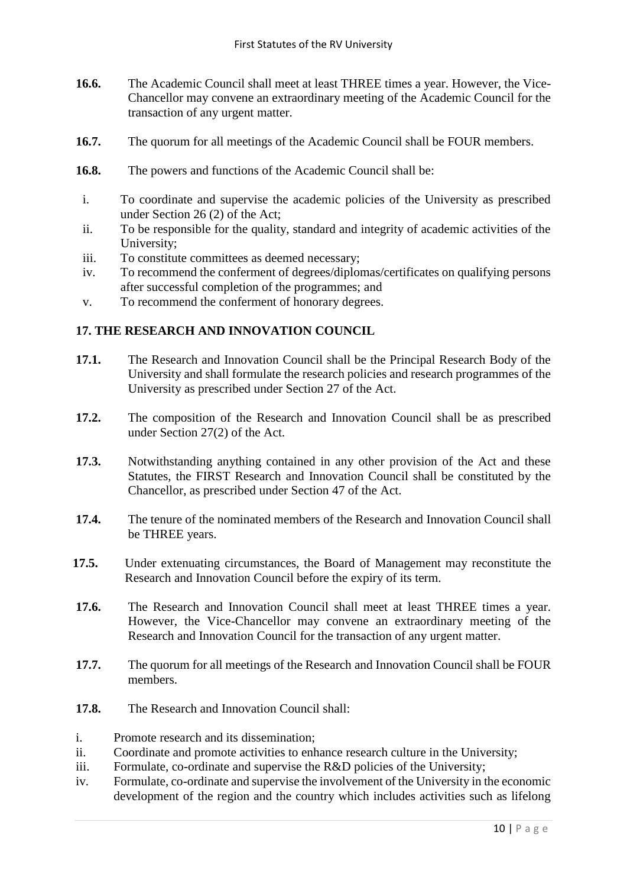- **16.6.** The Academic Council shall meet at least THREE times a year. However, the Vice-Chancellor may convene an extraordinary meeting of the Academic Council for the transaction of any urgent matter.
- **16.7.** The quorum for all meetings of the Academic Council shall be FOUR members.
- **16.8.** The powers and functions of the Academic Council shall be:
- i. To coordinate and supervise the academic policies of the University as prescribed under Section 26 (2) of the Act;
- ii. To be responsible for the quality, standard and integrity of academic activities of the University;
- iii. To constitute committees as deemed necessary;
- iv. To recommend the conferment of degrees/diplomas/certificates on qualifying persons after successful completion of the programmes; and
- v. To recommend the conferment of honorary degrees.

### **17. THE RESEARCH AND INNOVATION COUNCIL**

- **17.1.** The Research and Innovation Council shall be the Principal Research Body of the University and shall formulate the research policies and research programmes of the University as prescribed under Section 27 of the Act.
- **17.2.** The composition of the Research and Innovation Council shall be as prescribed under Section 27(2) of the Act.
- **17.3.** Notwithstanding anything contained in any other provision of the Act and these Statutes, the FIRST Research and Innovation Council shall be constituted by the Chancellor, as prescribed under Section 47 of the Act.
- **17.4.** The tenure of the nominated members of the Research and Innovation Council shall be THREE years.
- **17.5.** Under extenuating circumstances, the Board of Management may reconstitute the Research and Innovation Council before the expiry of its term.
- **17.6.** The Research and Innovation Council shall meet at least THREE times a year. However, the Vice-Chancellor may convene an extraordinary meeting of the Research and Innovation Council for the transaction of any urgent matter.
- **17.7.** The quorum for all meetings of the Research and Innovation Council shall be FOUR members.
- **17.8.** The Research and Innovation Council shall:
- i. Promote research and its dissemination;
- ii. Coordinate and promote activities to enhance research culture in the University;
- iii. Formulate, co-ordinate and supervise the R&D policies of the University;
- iv. Formulate, co-ordinate and supervise the involvement of the University in the economic development of the region and the country which includes activities such as lifelong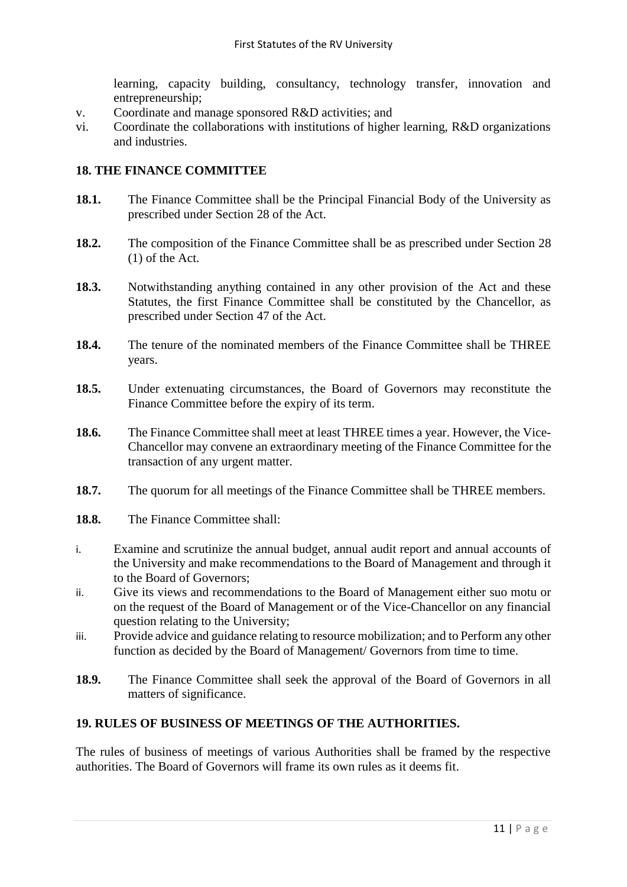learning, capacity building, consultancy, technology transfer, innovation and entrepreneurship;

- v. Coordinate and manage sponsored R&D activities; and
- vi. Coordinate the collaborations with institutions of higher learning, R&D organizations and industries.

#### **18. THE FINANCE COMMITTEE**

- 18.1. The Finance Committee shall be the Principal Financial Body of the University as prescribed under Section 28 of the Act.
- 18.2. The composition of the Finance Committee shall be as prescribed under Section 28 (1) of the Act.
- **18.3.** Notwithstanding anything contained in any other provision of the Act and these Statutes, the first Finance Committee shall be constituted by the Chancellor, as prescribed under Section 47 of the Act.
- **18.4.** The tenure of the nominated members of the Finance Committee shall be THREE years.
- **18.5.** Under extenuating circumstances, the Board of Governors may reconstitute the Finance Committee before the expiry of its term.
- **18.6.** The Finance Committee shall meet at least THREE times a year. However, the Vice-Chancellor may convene an extraordinary meeting of the Finance Committee for the transaction of any urgent matter.
- **18.7.** The quorum for all meetings of the Finance Committee shall be THREE members.
- **18.8.** The Finance Committee shall:
- i. Examine and scrutinize the annual budget, annual audit report and annual accounts of the University and make recommendations to the Board of Management and through it to the Board of Governors;
- ii. Give its views and recommendations to the Board of Management either suo motu or on the request of the Board of Management or of the Vice-Chancellor on any financial question relating to the University;
- iii. Provide advice and guidance relating to resource mobilization; and to Perform any other function as decided by the Board of Management/ Governors from time to time.
- **18.9.** The Finance Committee shall seek the approval of the Board of Governors in all matters of significance.

## **19. RULES OF BUSINESS OF MEETINGS OF THE AUTHORITIES.**

The rules of business of meetings of various Authorities shall be framed by the respective authorities. The Board of Governors will frame its own rules as it deems fit.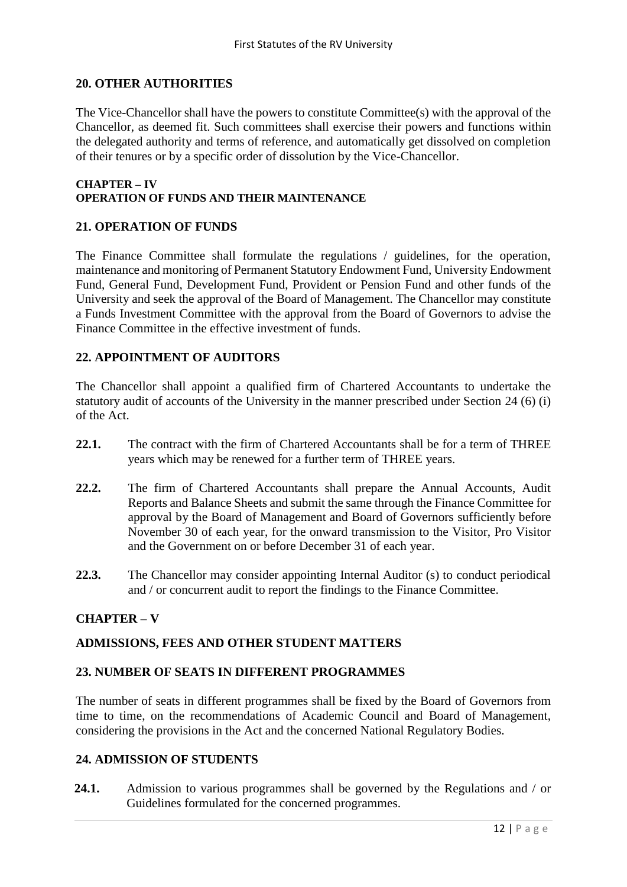#### **20. OTHER AUTHORITIES**

The Vice-Chancellor shall have the powers to constitute Committee(s) with the approval of the Chancellor, as deemed fit. Such committees shall exercise their powers and functions within the delegated authority and terms of reference, and automatically get dissolved on completion of their tenures or by a specific order of dissolution by the Vice-Chancellor.

#### **CHAPTER – IV OPERATION OF FUNDS AND THEIR MAINTENANCE**

## **21. OPERATION OF FUNDS**

The Finance Committee shall formulate the regulations / guidelines, for the operation, maintenance and monitoring of Permanent Statutory Endowment Fund, University Endowment Fund, General Fund, Development Fund, Provident or Pension Fund and other funds of the University and seek the approval of the Board of Management. The Chancellor may constitute a Funds Investment Committee with the approval from the Board of Governors to advise the Finance Committee in the effective investment of funds.

#### **22. APPOINTMENT OF AUDITORS**

The Chancellor shall appoint a qualified firm of Chartered Accountants to undertake the statutory audit of accounts of the University in the manner prescribed under Section 24 (6) (i) of the Act.

- 22.1. The contract with the firm of Chartered Accountants shall be for a term of THREE years which may be renewed for a further term of THREE years.
- **22.2.** The firm of Chartered Accountants shall prepare the Annual Accounts, Audit Reports and Balance Sheets and submit the same through the Finance Committee for approval by the Board of Management and Board of Governors sufficiently before November 30 of each year, for the onward transmission to the Visitor, Pro Visitor and the Government on or before December 31 of each year.
- **22.3.** The Chancellor may consider appointing Internal Auditor (s) to conduct periodical and / or concurrent audit to report the findings to the Finance Committee.

### **CHAPTER – V**

### **ADMISSIONS, FEES AND OTHER STUDENT MATTERS**

#### **23. NUMBER OF SEATS IN DIFFERENT PROGRAMMES**

The number of seats in different programmes shall be fixed by the Board of Governors from time to time, on the recommendations of Academic Council and Board of Management, considering the provisions in the Act and the concerned National Regulatory Bodies.

### **24. ADMISSION OF STUDENTS**

**24.1.** Admission to various programmes shall be governed by the Regulations and / or Guidelines formulated for the concerned programmes.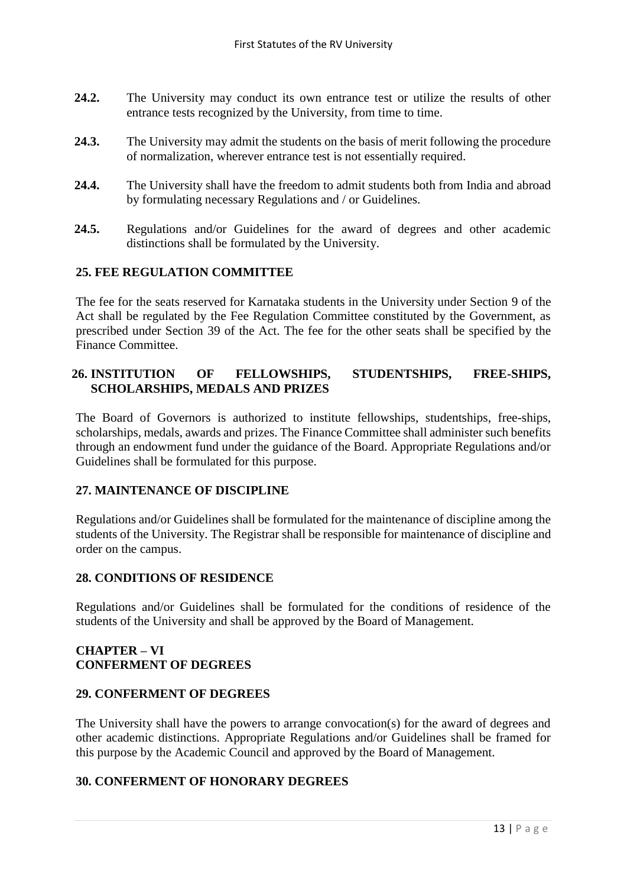- **24.2.** The University may conduct its own entrance test or utilize the results of other entrance tests recognized by the University, from time to time.
- **24.3.** The University may admit the students on the basis of merit following the procedure of normalization, wherever entrance test is not essentially required.
- **24.4.** The University shall have the freedom to admit students both from India and abroad by formulating necessary Regulations and / or Guidelines.
- **24.5.** Regulations and/or Guidelines for the award of degrees and other academic distinctions shall be formulated by the University.

### **25. FEE REGULATION COMMITTEE**

The fee for the seats reserved for Karnataka students in the University under Section 9 of the Act shall be regulated by the Fee Regulation Committee constituted by the Government, as prescribed under Section 39 of the Act. The fee for the other seats shall be specified by the Finance Committee.

## **26. INSTITUTION OF FELLOWSHIPS, STUDENTSHIPS, FREE-SHIPS, SCHOLARSHIPS, MEDALS AND PRIZES**

The Board of Governors is authorized to institute fellowships, studentships, free-ships, scholarships, medals, awards and prizes. The Finance Committee shall administer such benefits through an endowment fund under the guidance of the Board. Appropriate Regulations and/or Guidelines shall be formulated for this purpose.

#### **27. MAINTENANCE OF DISCIPLINE**

Regulations and/or Guidelines shall be formulated for the maintenance of discipline among the students of the University. The Registrar shall be responsible for maintenance of discipline and order on the campus.

#### **28. CONDITIONS OF RESIDENCE**

Regulations and/or Guidelines shall be formulated for the conditions of residence of the students of the University and shall be approved by the Board of Management.

#### **CHAPTER – VI CONFERMENT OF DEGREES**

### **29. CONFERMENT OF DEGREES**

The University shall have the powers to arrange convocation(s) for the award of degrees and other academic distinctions. Appropriate Regulations and/or Guidelines shall be framed for this purpose by the Academic Council and approved by the Board of Management.

#### **30. CONFERMENT OF HONORARY DEGREES**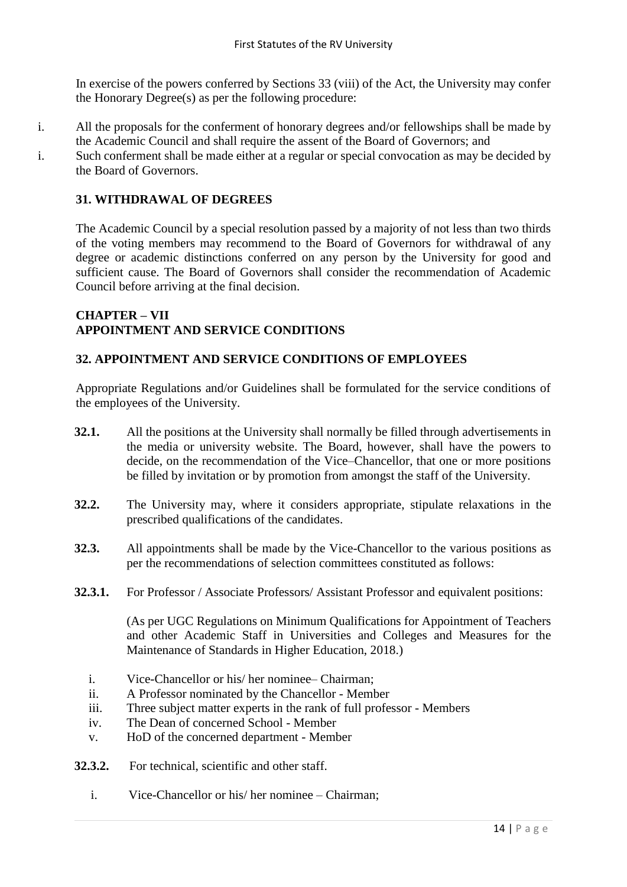In exercise of the powers conferred by Sections 33 (viii) of the Act, the University may confer the Honorary Degree(s) as per the following procedure:

- i. All the proposals for the conferment of honorary degrees and/or fellowships shall be made by the Academic Council and shall require the assent of the Board of Governors; and
- i. Such conferment shall be made either at a regular or special convocation as may be decided by the Board of Governors.

## **31. WITHDRAWAL OF DEGREES**

The Academic Council by a special resolution passed by a majority of not less than two thirds of the voting members may recommend to the Board of Governors for withdrawal of any degree or academic distinctions conferred on any person by the University for good and sufficient cause. The Board of Governors shall consider the recommendation of Academic Council before arriving at the final decision.

#### **CHAPTER – VII APPOINTMENT AND SERVICE CONDITIONS**

## **32. APPOINTMENT AND SERVICE CONDITIONS OF EMPLOYEES**

Appropriate Regulations and/or Guidelines shall be formulated for the service conditions of the employees of the University.

- **32.1.** All the positions at the University shall normally be filled through advertisements in the media or university website. The Board, however, shall have the powers to decide, on the recommendation of the Vice–Chancellor, that one or more positions be filled by invitation or by promotion from amongst the staff of the University.
- **32.2.** The University may, where it considers appropriate, stipulate relaxations in the prescribed qualifications of the candidates.
- **32.3.** All appointments shall be made by the Vice-Chancellor to the various positions as per the recommendations of selection committees constituted as follows:
- **32.3.1.** For Professor / Associate Professors/ Assistant Professor and equivalent positions:

(As per UGC Regulations on Minimum Qualifications for Appointment of Teachers and other Academic Staff in Universities and Colleges and Measures for the Maintenance of Standards in Higher Education, 2018.)

- i. Vice-Chancellor or his/ her nominee– Chairman;
- ii. A Professor nominated by the Chancellor Member
- iii. Three subject matter experts in the rank of full professor Members
- iv. The Dean of concerned School Member
- v. HoD of the concerned department Member
- **32.3.2.** For technical, scientific and other staff.
	- i. Vice-Chancellor or his/ her nominee Chairman;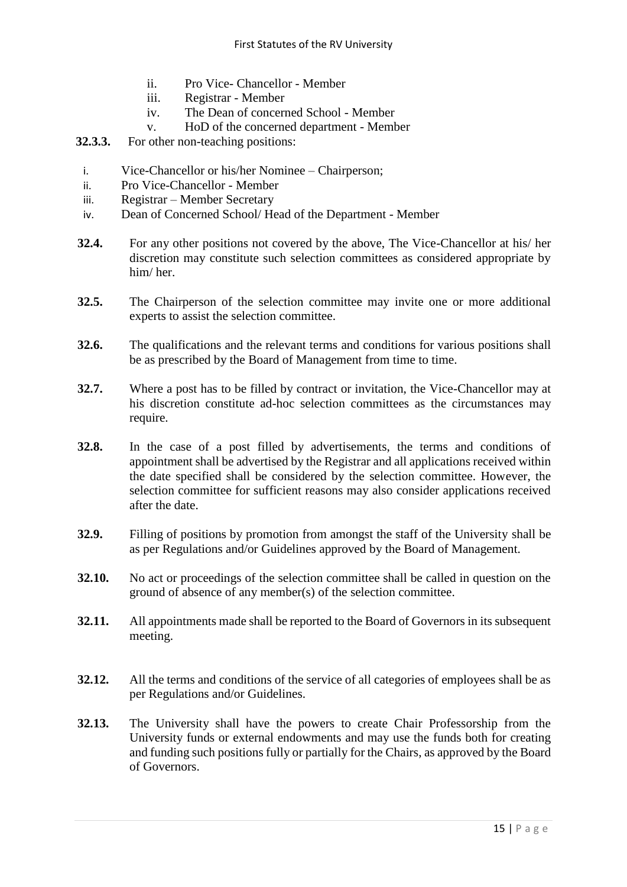- ii. Pro Vice- Chancellor Member
- iii. Registrar Member
- iv. The Dean of concerned School Member
- v. HoD of the concerned department Member
- **32.3.3.** For other non-teaching positions:
	- i. Vice-Chancellor or his/her Nominee Chairperson;
	- ii. Pro Vice-Chancellor Member
- iii. Registrar Member Secretary
- iv. Dean of Concerned School/ Head of the Department Member
- **32.4.** For any other positions not covered by the above, The Vice-Chancellor at his/ her discretion may constitute such selection committees as considered appropriate by him/ her.
- **32.5.** The Chairperson of the selection committee may invite one or more additional experts to assist the selection committee.
- **32.6.** The qualifications and the relevant terms and conditions for various positions shall be as prescribed by the Board of Management from time to time.
- **32.7.** Where a post has to be filled by contract or invitation, the Vice-Chancellor may at his discretion constitute ad-hoc selection committees as the circumstances may require.
- **32.8.** In the case of a post filled by advertisements, the terms and conditions of appointment shall be advertised by the Registrar and all applications received within the date specified shall be considered by the selection committee. However, the selection committee for sufficient reasons may also consider applications received after the date.
- **32.9.** Filling of positions by promotion from amongst the staff of the University shall be as per Regulations and/or Guidelines approved by the Board of Management.
- **32.10.** No act or proceedings of the selection committee shall be called in question on the ground of absence of any member(s) of the selection committee.
- **32.11.** All appointments made shall be reported to the Board of Governors in its subsequent meeting.
- **32.12.** All the terms and conditions of the service of all categories of employees shall be as per Regulations and/or Guidelines.
- **32.13.** The University shall have the powers to create Chair Professorship from the University funds or external endowments and may use the funds both for creating and funding such positions fully or partially for the Chairs, as approved by the Board of Governors.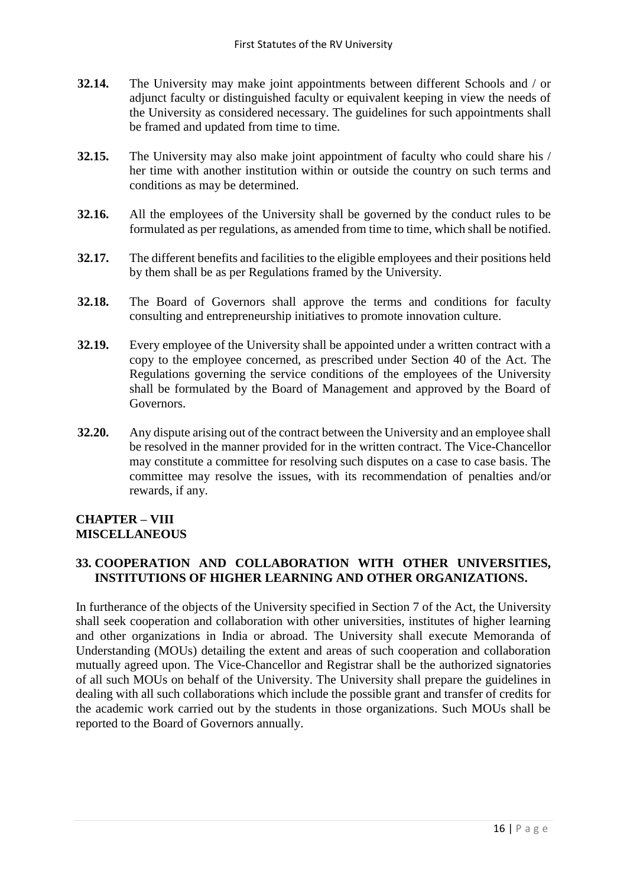- **32.14.** The University may make joint appointments between different Schools and / or adjunct faculty or distinguished faculty or equivalent keeping in view the needs of the University as considered necessary. The guidelines for such appointments shall be framed and updated from time to time.
- **32.15.** The University may also make joint appointment of faculty who could share his / her time with another institution within or outside the country on such terms and conditions as may be determined.
- **32.16.** All the employees of the University shall be governed by the conduct rules to be formulated as per regulations, as amended from time to time, which shall be notified.
- **32.17.** The different benefits and facilities to the eligible employees and their positions held by them shall be as per Regulations framed by the University.
- **32.18.** The Board of Governors shall approve the terms and conditions for faculty consulting and entrepreneurship initiatives to promote innovation culture.
- **32.19.** Every employee of the University shall be appointed under a written contract with a copy to the employee concerned, as prescribed under Section 40 of the Act. The Regulations governing the service conditions of the employees of the University shall be formulated by the Board of Management and approved by the Board of Governors.
- **32.20.** Any dispute arising out of the contract between the University and an employee shall be resolved in the manner provided for in the written contract. The Vice-Chancellor may constitute a committee for resolving such disputes on a case to case basis. The committee may resolve the issues, with its recommendation of penalties and/or rewards, if any.

## **CHAPTER – VIII MISCELLANEOUS**

## **33. COOPERATION AND COLLABORATION WITH OTHER UNIVERSITIES, INSTITUTIONS OF HIGHER LEARNING AND OTHER ORGANIZATIONS.**

In furtherance of the objects of the University specified in Section 7 of the Act, the University shall seek cooperation and collaboration with other universities, institutes of higher learning and other organizations in India or abroad. The University shall execute Memoranda of Understanding (MOUs) detailing the extent and areas of such cooperation and collaboration mutually agreed upon. The Vice-Chancellor and Registrar shall be the authorized signatories of all such MOUs on behalf of the University. The University shall prepare the guidelines in dealing with all such collaborations which include the possible grant and transfer of credits for the academic work carried out by the students in those organizations. Such MOUs shall be reported to the Board of Governors annually.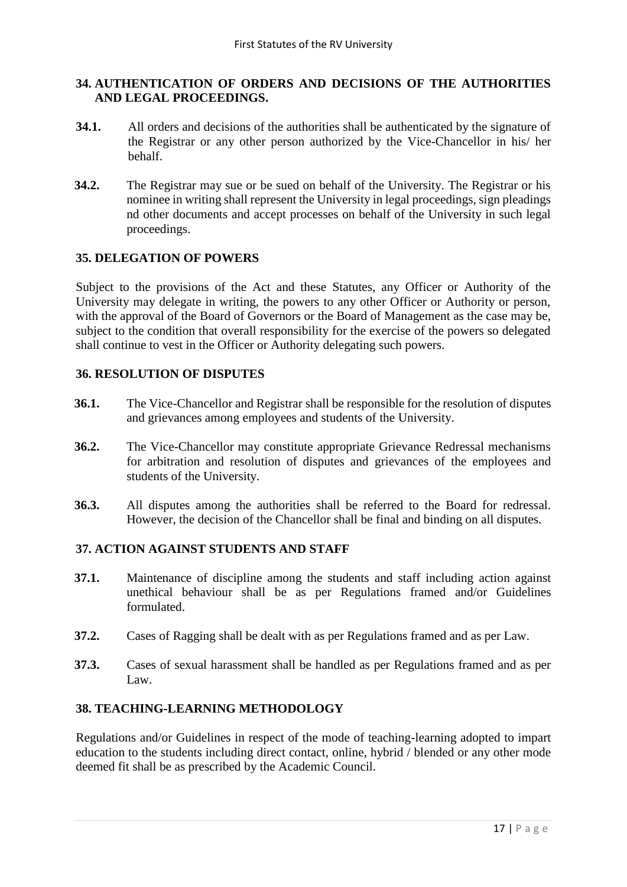### **34. AUTHENTICATION OF ORDERS AND DECISIONS OF THE AUTHORITIES AND LEGAL PROCEEDINGS.**

- **34.1.** All orders and decisions of the authorities shall be authenticated by the signature of the Registrar or any other person authorized by the Vice-Chancellor in his/ her behalf.
- **34.2.** The Registrar may sue or be sued on behalf of the University. The Registrar or his nominee in writing shall represent the University in legal proceedings, sign pleadings nd other documents and accept processes on behalf of the University in such legal proceedings.

### **35. DELEGATION OF POWERS**

Subject to the provisions of the Act and these Statutes, any Officer or Authority of the University may delegate in writing, the powers to any other Officer or Authority or person, with the approval of the Board of Governors or the Board of Management as the case may be, subject to the condition that overall responsibility for the exercise of the powers so delegated shall continue to vest in the Officer or Authority delegating such powers.

### **36. RESOLUTION OF DISPUTES**

- **36.1.** The Vice-Chancellor and Registrar shall be responsible for the resolution of disputes and grievances among employees and students of the University.
- **36.2.** The Vice-Chancellor may constitute appropriate Grievance Redressal mechanisms for arbitration and resolution of disputes and grievances of the employees and students of the University.
- **36.3.** All disputes among the authorities shall be referred to the Board for redressal. However, the decision of the Chancellor shall be final and binding on all disputes.

## **37. ACTION AGAINST STUDENTS AND STAFF**

- **37.1.** Maintenance of discipline among the students and staff including action against unethical behaviour shall be as per Regulations framed and/or Guidelines formulated.
- **37.2.** Cases of Ragging shall be dealt with as per Regulations framed and as per Law.
- **37.3.** Cases of sexual harassment shall be handled as per Regulations framed and as per Law.

## **38. TEACHING-LEARNING METHODOLOGY**

Regulations and/or Guidelines in respect of the mode of teaching-learning adopted to impart education to the students including direct contact, online, hybrid / blended or any other mode deemed fit shall be as prescribed by the Academic Council.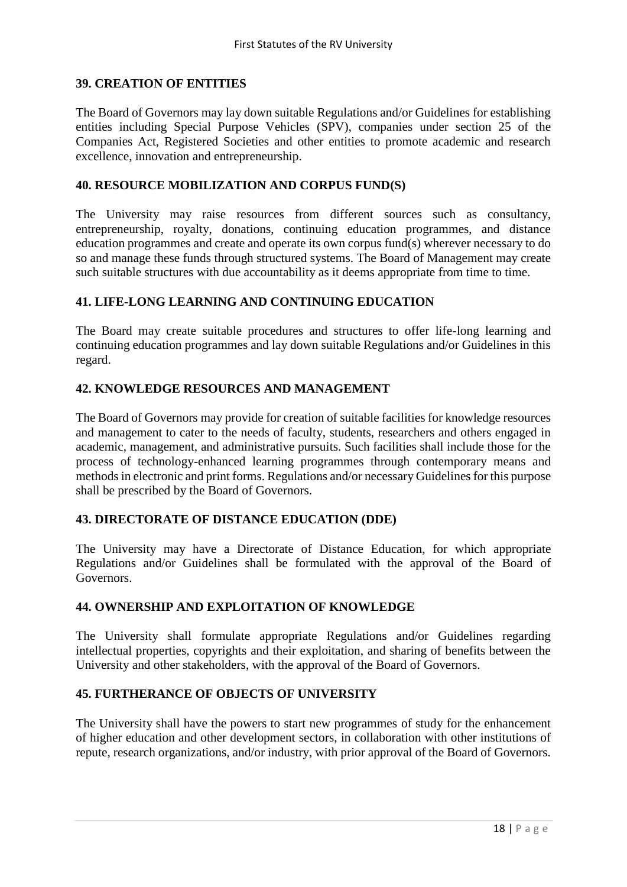#### **39. CREATION OF ENTITIES**

The Board of Governors may lay down suitable Regulations and/or Guidelines for establishing entities including Special Purpose Vehicles (SPV), companies under section 25 of the Companies Act, Registered Societies and other entities to promote academic and research excellence, innovation and entrepreneurship.

#### **40. RESOURCE MOBILIZATION AND CORPUS FUND(S)**

The University may raise resources from different sources such as consultancy, entrepreneurship, royalty, donations, continuing education programmes, and distance education programmes and create and operate its own corpus fund(s) wherever necessary to do so and manage these funds through structured systems. The Board of Management may create such suitable structures with due accountability as it deems appropriate from time to time.

### **41. LIFE-LONG LEARNING AND CONTINUING EDUCATION**

The Board may create suitable procedures and structures to offer life-long learning and continuing education programmes and lay down suitable Regulations and/or Guidelines in this regard.

### **42. KNOWLEDGE RESOURCES AND MANAGEMENT**

The Board of Governors may provide for creation of suitable facilities for knowledge resources and management to cater to the needs of faculty, students, researchers and others engaged in academic, management, and administrative pursuits. Such facilities shall include those for the process of technology-enhanced learning programmes through contemporary means and methods in electronic and print forms. Regulations and/or necessary Guidelines for this purpose shall be prescribed by the Board of Governors.

#### **43. DIRECTORATE OF DISTANCE EDUCATION (DDE)**

The University may have a Directorate of Distance Education, for which appropriate Regulations and/or Guidelines shall be formulated with the approval of the Board of Governors.

#### **44. OWNERSHIP AND EXPLOITATION OF KNOWLEDGE**

The University shall formulate appropriate Regulations and/or Guidelines regarding intellectual properties, copyrights and their exploitation, and sharing of benefits between the University and other stakeholders, with the approval of the Board of Governors.

### **45. FURTHERANCE OF OBJECTS OF UNIVERSITY**

The University shall have the powers to start new programmes of study for the enhancement of higher education and other development sectors, in collaboration with other institutions of repute, research organizations, and/or industry, with prior approval of the Board of Governors.